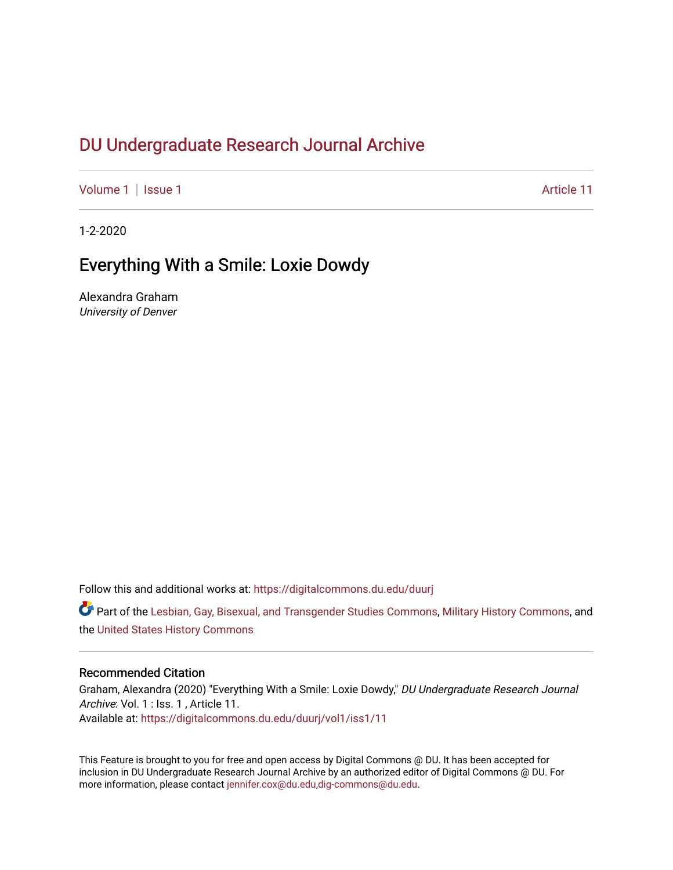# DU Undergr[aduate Research Journal Ar](https://digitalcommons.du.edu/duurj)chive

[Volume 1](https://digitalcommons.du.edu/duurj/vol1) | [Issue 1](https://digitalcommons.du.edu/duurj/vol1/iss1) Article 11

1-2-2020

## Everything With a Smile: Loxie Dowdy

Alexandra Graham University of Denver

Follow this and additional works at: [https://digitalcommons.du.edu/duurj](https://digitalcommons.du.edu/duurj?utm_source=digitalcommons.du.edu%2Fduurj%2Fvol1%2Fiss1%2F11&utm_medium=PDF&utm_campaign=PDFCoverPages) 

Part of the [Lesbian, Gay, Bisexual, and Transgender Studies Commons](http://network.bepress.com/hgg/discipline/560?utm_source=digitalcommons.du.edu%2Fduurj%2Fvol1%2Fiss1%2F11&utm_medium=PDF&utm_campaign=PDFCoverPages), [Military History Commons](http://network.bepress.com/hgg/discipline/504?utm_source=digitalcommons.du.edu%2Fduurj%2Fvol1%2Fiss1%2F11&utm_medium=PDF&utm_campaign=PDFCoverPages), and the [United States History Commons](http://network.bepress.com/hgg/discipline/495?utm_source=digitalcommons.du.edu%2Fduurj%2Fvol1%2Fiss1%2F11&utm_medium=PDF&utm_campaign=PDFCoverPages) 

#### Recommended Citation

Graham, Alexandra (2020) "Everything With a Smile: Loxie Dowdy," DU Undergraduate Research Journal Archive: Vol. 1 : Iss. 1, Article 11. Available at: [https://digitalcommons.du.edu/duurj/vol1/iss1/11](https://digitalcommons.du.edu/duurj/vol1/iss1/11?utm_source=digitalcommons.du.edu%2Fduurj%2Fvol1%2Fiss1%2F11&utm_medium=PDF&utm_campaign=PDFCoverPages) 

This Feature is brought to you for free and open access by Digital Commons @ DU. It has been accepted for inclusion in DU Undergraduate Research Journal Archive by an authorized editor of Digital Commons @ DU. For more information, please contact [jennifer.cox@du.edu,dig-commons@du.edu.](mailto:jennifer.cox@du.edu,dig-commons@du.edu)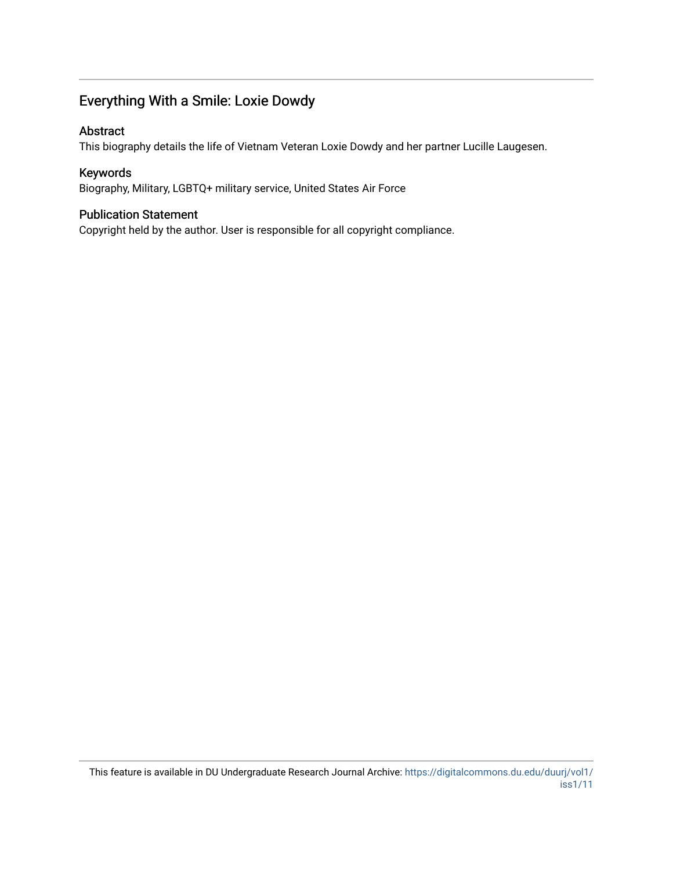## Everything With a Smile: Loxie Dowdy

### Abstract

This biography details the life of Vietnam Veteran Loxie Dowdy and her partner Lucille Laugesen.

## Keywords

Biography, Military, LGBTQ+ military service, United States Air Force

### Publication Statement

Copyright held by the author. User is responsible for all copyright compliance.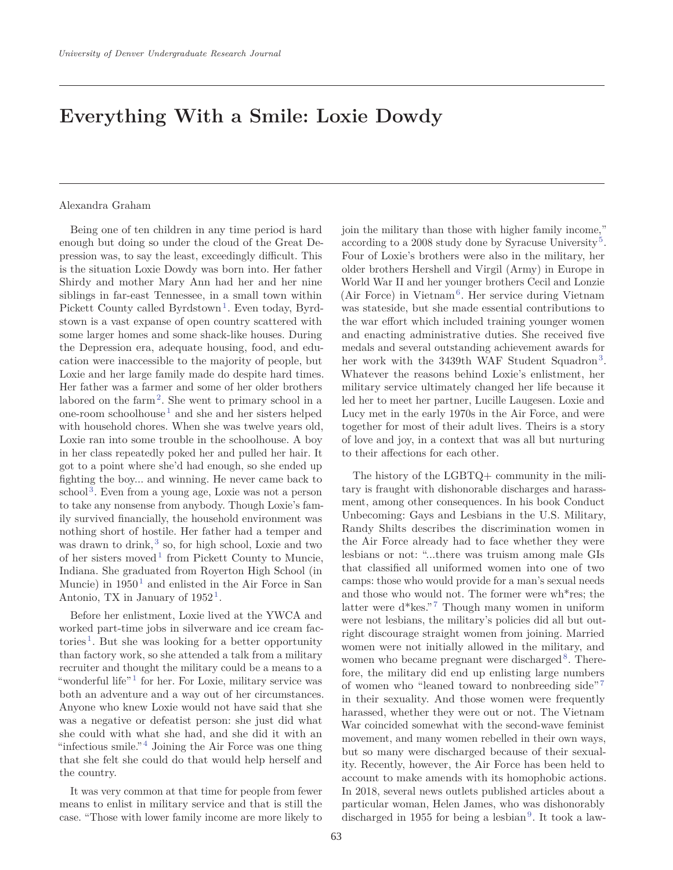# **Everything With a Smile: Loxie Dowdy**

#### Alexandra Graham

Being one of ten children in any time period is hard enough but doing so under the cloud of the Great Depression was, to say the least, exceedingly difficult. This is the situation Loxie Dowdy was born into. Her father Shirdy and mother Mary Ann had her and her nine siblings in far-east Tennessee, in a small town within Pickett County called Byrdstown<sup>1</sup>. Even today, Byrdstown is a vast expanse of open country scattered with some larger homes and some shack-like houses. During the Depression era, adequate housing, food, and education were inaccessible to the majority of people, but Loxie and her large family made do despite hard times. Her father was a farmer and some of her older brothers labored on the farm<sup>2</sup>. She went to primary school in a one-room schoolhouse<sup>1</sup> and she and her sisters helped with household chores. When she was twelve years old, Loxie ran into some trouble in the schoolhouse. A boy in her class repeatedly poked her and pulled her hair. It got to a point where she'd had enough, so she ended up fighting the boy... and winning. He never came back to  $\rm school<sup>3</sup>$ . Even from a young age, Loxie was not a person to take any nonsense from anybody. Though Loxie's family survived financially, the household environment was nothing short of hostile. Her father had a temper and was drawn to drink,<sup>3</sup> so, for high school, Loxie and two of her sisters moved<sup>1</sup> from Pickett County to Muncie, Indiana. She graduated from Royerton High School (in Muncie) in  $1950<sup>1</sup>$  and enlisted in the Air Force in San Antonio, TX in January of  $1952<sup>1</sup>$ .

Before her enlistment, Loxie lived at the YWCA and worked part-time jobs in silverware and ice cream factories<sup>1</sup>. But she was looking for a better opportunity than factory work, so she attended a talk from a military recruiter and thought the military could be a means to a "wonderful life"<sup>1</sup> for her. For Loxie, military service was both an adventure and a way out of her circumstances. Anyone who knew Loxie would not have said that she was a negative or defeatist person: she just did what she could with what she had, and she did it with an "infectious smile."  $4$  Joining the Air Force was one thing that she felt she could do that would help herself and the country.

It was very common at that time for people from fewer means to enlist in military service and that is still the case. "Those with lower family income are more likely to join the military than those with higher family income," according to a 2008 study done by Syracuse University<sup>5</sup>. Four of Loxie's brothers were also in the military, her older brothers Hershell and Virgil (Army) in Europe in World War II and her younger brothers Cecil and Lonzie (Air Force) in Vietnam<sup>6</sup>. Her service during Vietnam was stateside, but she made essential contributions to the war effort which included training younger women and enacting administrative duties. She received five medals and several outstanding achievement awards for her work with the 3439th WAF Student Squadron<sup>3</sup>. Whatever the reasons behind Loxie's enlistment, her military service ultimately changed her life because it led her to meet her partner, Lucille Laugesen. Loxie and Lucy met in the early 1970s in the Air Force, and were together for most of their adult lives. Theirs is a story of love and joy, in a context that was all but nurturing to their affections for each other.

The history of the LGBTQ+ community in the military is fraught with dishonorable discharges and harassment, among other consequences. In his book Conduct Unbecoming: Gays and Lesbians in the U.S. Military, Randy Shilts describes the discrimination women in the Air Force already had to face whether they were lesbians or not: "...there was truism among male GIs that classified all uniformed women into one of two camps: those who would provide for a man's sexual needs and those who would not. The former were wh\*res; the latter were  $d*$ kes."<sup>7</sup> Though many women in uniform were not lesbians, the military's policies did all but outright discourage straight women from joining. Married women were not initially allowed in the military, and women who became pregnant were discharged  $8$ . Therefore, the military did end up enlisting large numbers of women who "leaned toward to nonbreeding side"<sup>7</sup> in their sexuality. And those women were frequently harassed, whether they were out or not. The Vietnam War coincided somewhat with the second-wave feminist movement, and many women rebelled in their own ways, but so many were discharged because of their sexuality. Recently, however, the Air Force has been held to account to make amends with its homophobic actions. In 2018, several news outlets published articles about a particular woman, Helen James, who was dishonorably discharged in 1955 for being a lesbian<sup>9</sup>. It took a law